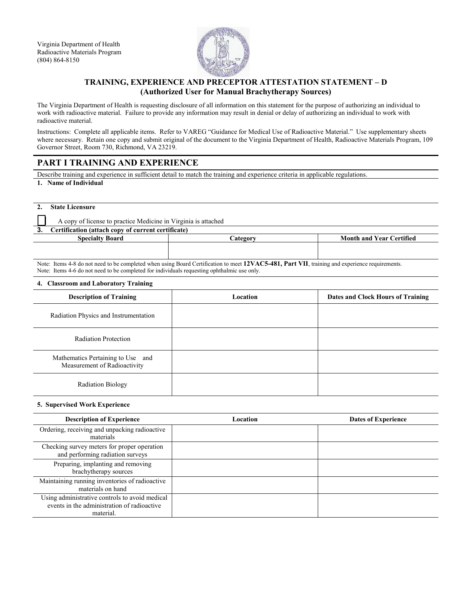Virginia Department of Health Radioactive Materials Program (804) 864-8150



# **TRAINING, EXPERIENCE AND PRECEPTOR ATTESTATION STATEMENT – D (Authorized User for Manual Brachytherapy Sources)**

The Virginia Department of Health is requesting disclosure of all information on this statement for the purpose of authorizing an individual to work with radioactive material. Failure to provide any information may result in denial or delay of authorizing an individual to work with radioactive material.

Instructions: Complete all applicable items. Refer to VAREG "Guidance for Medical Use of Radioactive Material." Use supplementary sheets where necessary. Retain one copy and submit original of the document to the Virginia Department of Health, Radioactive Materials Program, 109 Governor Street, Room 730, Richmond, VA 23219.

# **PART I TRAINING AND EXPERIENCE**

Describe training and experience in sufficient detail to match the training and experience criteria in applicable regulations.

**1. Name of Individual**

**2. State Licensure**

A copy of license to practice Medicine in Virginia is attached

| 3. |  |  | Certification (attach copy of current certificate) |
|----|--|--|----------------------------------------------------|
|----|--|--|----------------------------------------------------|

| <b>Specialty Board</b> | <b>Category</b>                                                                                                                               | <b>Month and Year Certified</b> |
|------------------------|-----------------------------------------------------------------------------------------------------------------------------------------------|---------------------------------|
|                        |                                                                                                                                               |                                 |
|                        |                                                                                                                                               |                                 |
|                        | Note: Items 4.0 do not need to be completed when using Doord Continentation to meet 12VACE 491. Dont VII, twisting and away was nonvious anta |                                 |

Items 4-8 do not need to be completed when using Board Certification to meet 12VAC5-481, Part VII, training and experience requirements. Note: Items 4-6 do not need to be completed for individuals requesting ophthalmic use only.

#### **4. Classroom and Laboratory Training**

| <b>Description of Training</b>                                    | Location | Dates and Clock Hours of Training |
|-------------------------------------------------------------------|----------|-----------------------------------|
| Radiation Physics and Instrumentation                             |          |                                   |
| <b>Radiation Protection</b>                                       |          |                                   |
| Mathematics Pertaining to Use and<br>Measurement of Radioactivity |          |                                   |
| <b>Radiation Biology</b>                                          |          |                                   |

#### **5. Supervised Work Experience**

| <b>Description of Experience</b>                                                                           | Location | <b>Dates of Experience</b> |
|------------------------------------------------------------------------------------------------------------|----------|----------------------------|
| Ordering, receiving and unpacking radioactive<br>materials                                                 |          |                            |
| Checking survey meters for proper operation<br>and performing radiation surveys                            |          |                            |
| Preparing, implanting and removing<br>brachytherapy sources                                                |          |                            |
| Maintaining running inventories of radioactive<br>materials on hand                                        |          |                            |
| Using administrative controls to avoid medical<br>events in the administration of radioactive<br>material. |          |                            |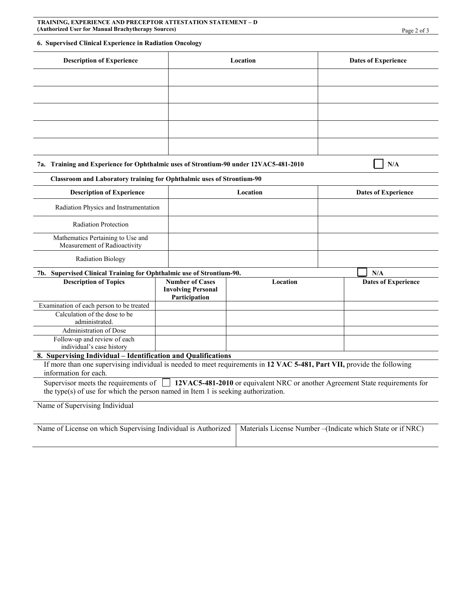**TRAINING, EXPERIENCE AND PRECEPTOR ATTESTATION STATEMENT – D (Authorized User for Manual Brachytherapy Sources)** Page 2 of 3

### **6. Supervised Clinical Experience in Radiation Oncology**

| <b>Description of Experience</b>                                                                                                                                                                        |                                                                      | Location | <b>Dates of Experience</b>                                |
|---------------------------------------------------------------------------------------------------------------------------------------------------------------------------------------------------------|----------------------------------------------------------------------|----------|-----------------------------------------------------------|
|                                                                                                                                                                                                         |                                                                      |          |                                                           |
|                                                                                                                                                                                                         |                                                                      |          |                                                           |
|                                                                                                                                                                                                         |                                                                      |          |                                                           |
|                                                                                                                                                                                                         |                                                                      |          |                                                           |
|                                                                                                                                                                                                         |                                                                      |          |                                                           |
| 7a. Training and Experience for Ophthalmic uses of Strontium-90 under 12VAC5-481-2010                                                                                                                   |                                                                      |          | N/A                                                       |
| Classroom and Laboratory training for Ophthalmic uses of Strontium-90                                                                                                                                   |                                                                      |          |                                                           |
| <b>Description of Experience</b>                                                                                                                                                                        |                                                                      | Location | <b>Dates of Experience</b>                                |
| Radiation Physics and Instrumentation                                                                                                                                                                   |                                                                      |          |                                                           |
| <b>Radiation Protection</b>                                                                                                                                                                             |                                                                      |          |                                                           |
| Mathematics Pertaining to Use and<br>Measurement of Radioactivity                                                                                                                                       |                                                                      |          |                                                           |
| <b>Radiation Biology</b>                                                                                                                                                                                |                                                                      |          |                                                           |
| 7b. Supervised Clinical Training for Ophthalmic use of Strontium-90.                                                                                                                                    |                                                                      |          | N/A                                                       |
| <b>Description of Topics</b>                                                                                                                                                                            | <b>Number of Cases</b><br><b>Involving Personal</b><br>Participation | Location | <b>Dates of Experience</b>                                |
| Examination of each person to be treated                                                                                                                                                                |                                                                      |          |                                                           |
| Calculation of the dose to be<br>administrated.                                                                                                                                                         |                                                                      |          |                                                           |
| Administration of Dose                                                                                                                                                                                  |                                                                      |          |                                                           |
| Follow-up and review of each<br>individual's case history                                                                                                                                               |                                                                      |          |                                                           |
| 8. Supervising Individual - Identification and Qualifications                                                                                                                                           |                                                                      |          |                                                           |
| If more than one supervising individual is needed to meet requirements in 12 VAC 5-481, Part VII, provide the following<br>information for each.                                                        |                                                                      |          |                                                           |
| Supervisor meets the requirements of 12VAC5-481-2010 or equivalent NRC or another Agreement State requirements for<br>the type(s) of use for which the person named in Item 1 is seeking authorization. |                                                                      |          |                                                           |
|                                                                                                                                                                                                         |                                                                      |          |                                                           |
| Name of Supervising Individual                                                                                                                                                                          |                                                                      |          |                                                           |
| Name of License on which Supervising Individual is Authorized                                                                                                                                           |                                                                      |          | Materials License Number-(Indicate which State or if NRC) |